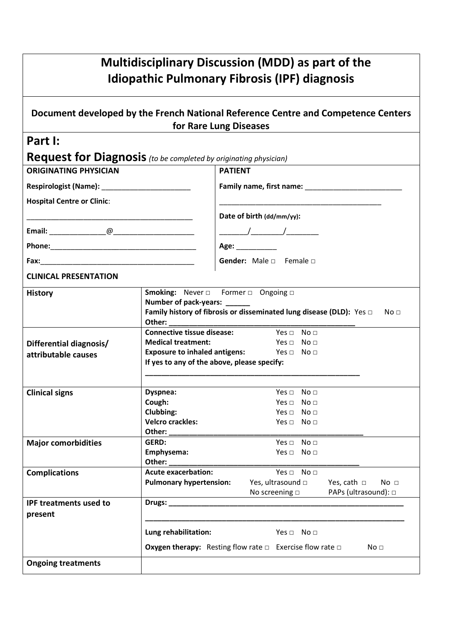| <b>Multidisciplinary Discussion (MDD) as part of the</b><br><b>Idiopathic Pulmonary Fibrosis (IPF) diagnosis</b> |                                                                                                                                                                                                               |                                                                                              |  |  |
|------------------------------------------------------------------------------------------------------------------|---------------------------------------------------------------------------------------------------------------------------------------------------------------------------------------------------------------|----------------------------------------------------------------------------------------------|--|--|
| Document developed by the French National Reference Centre and Competence Centers<br>for Rare Lung Diseases      |                                                                                                                                                                                                               |                                                                                              |  |  |
| Part I:                                                                                                          |                                                                                                                                                                                                               |                                                                                              |  |  |
| <b>Request for Diagnosis</b> (to be completed by originating physician)                                          |                                                                                                                                                                                                               |                                                                                              |  |  |
| <b>ORIGINATING PHYSICIAN</b>                                                                                     |                                                                                                                                                                                                               | <b>PATIENT</b>                                                                               |  |  |
| Respirologist (Name): Manual Manual Manual Manual Manual Manual Manual Manual Manual Manual Manual Manual Manu   |                                                                                                                                                                                                               |                                                                                              |  |  |
| <b>Hospital Centre or Clinic:</b>                                                                                |                                                                                                                                                                                                               |                                                                                              |  |  |
|                                                                                                                  |                                                                                                                                                                                                               | Date of birth (dd/mm/yy):                                                                    |  |  |
|                                                                                                                  |                                                                                                                                                                                                               |                                                                                              |  |  |
|                                                                                                                  |                                                                                                                                                                                                               | Age: $\frac{1}{2}$                                                                           |  |  |
|                                                                                                                  |                                                                                                                                                                                                               | Gender: Male a Female a                                                                      |  |  |
|                                                                                                                  |                                                                                                                                                                                                               |                                                                                              |  |  |
| <b>CLINICAL PRESENTATION</b>                                                                                     |                                                                                                                                                                                                               |                                                                                              |  |  |
| <b>History</b>                                                                                                   | <b>Smoking:</b> Never $\Box$ Former $\Box$ Ongoing $\Box$<br>Number of pack-years: ______<br>Family history of fibrosis or disseminated lung disease (DLD): Yes D<br>No <sub>1</sub>                          |                                                                                              |  |  |
|                                                                                                                  | <b>Connective tissue disease:</b> Yes □ No □<br>Yes $\Box$ No $\Box$<br><b>Medical treatment:</b><br><b>Exposure to inhaled antigens:</b> Yes $\Box$ No $\Box$<br>If yes to any of the above, please specify: |                                                                                              |  |  |
| Differential diagnosis/                                                                                          |                                                                                                                                                                                                               |                                                                                              |  |  |
| attributable causes                                                                                              |                                                                                                                                                                                                               |                                                                                              |  |  |
|                                                                                                                  |                                                                                                                                                                                                               |                                                                                              |  |  |
| <b>Clinical signs</b>                                                                                            | Dyspnea:<br>Yes $\Box$ No $\Box$                                                                                                                                                                              |                                                                                              |  |  |
|                                                                                                                  | Cough:<br>No <sub>1</sub><br>Yes $\sqcap$                                                                                                                                                                     |                                                                                              |  |  |
|                                                                                                                  | Clubbing:                                                                                                                                                                                                     | Yes $\Box$ No $\Box$                                                                         |  |  |
|                                                                                                                  | <b>Velcro crackles:</b><br>Other: _________                                                                                                                                                                   | Yes $\Box$ No $\Box$                                                                         |  |  |
| <b>Major comorbidities</b>                                                                                       | GERD:                                                                                                                                                                                                         | Yes $\Box$ No $\Box$                                                                         |  |  |
|                                                                                                                  | Emphysema:                                                                                                                                                                                                    | Yes $\Box$ No $\Box$                                                                         |  |  |
|                                                                                                                  | Other:                                                                                                                                                                                                        |                                                                                              |  |  |
| <b>Complications</b>                                                                                             | <b>Acute exacerbation:</b><br>Yes $\Box$ No $\Box$                                                                                                                                                            |                                                                                              |  |  |
|                                                                                                                  | <b>Pulmonary hypertension:</b>                                                                                                                                                                                | Yes, ultrasound $\square$<br>No <sub>1</sub><br>Yes, cath $\Box$                             |  |  |
|                                                                                                                  |                                                                                                                                                                                                               | PAPs (ultrasound): □<br>No screening $\Box$                                                  |  |  |
| <b>IPF treatments used to</b>                                                                                    |                                                                                                                                                                                                               |                                                                                              |  |  |
| present                                                                                                          |                                                                                                                                                                                                               |                                                                                              |  |  |
|                                                                                                                  | Lung rehabilitation:                                                                                                                                                                                          | Yes $\Box$ No $\Box$                                                                         |  |  |
|                                                                                                                  |                                                                                                                                                                                                               | <b>Oxygen therapy:</b> Resting flow rate $\Box$ Exercise flow rate $\Box$<br>No <sub>1</sub> |  |  |
| <b>Ongoing treatments</b>                                                                                        |                                                                                                                                                                                                               |                                                                                              |  |  |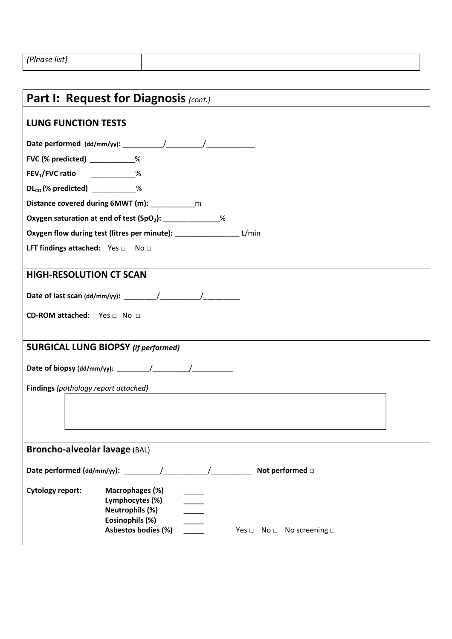| Part I: Request for Diagnosis (cont.)                                                                                                                                           |  |  |  |  |
|---------------------------------------------------------------------------------------------------------------------------------------------------------------------------------|--|--|--|--|
| <b>LUNG FUNCTION TESTS</b>                                                                                                                                                      |  |  |  |  |
|                                                                                                                                                                                 |  |  |  |  |
| FVC (% predicted) ___________%                                                                                                                                                  |  |  |  |  |
| FEV <sub>1</sub> /FVC ratio ___________%                                                                                                                                        |  |  |  |  |
| $DL_{co}$ (% predicted) $\sim$ %                                                                                                                                                |  |  |  |  |
|                                                                                                                                                                                 |  |  |  |  |
| Oxygen saturation at end of test (SpO <sub>2</sub> ): _____________%                                                                                                            |  |  |  |  |
| Oxygen flow during test (litres per minute): _______________________ L/min                                                                                                      |  |  |  |  |
| LFT findings attached: $Yes \Box$ No $\Box$                                                                                                                                     |  |  |  |  |
| <b>HIGH-RESOLUTION CT SCAN</b>                                                                                                                                                  |  |  |  |  |
|                                                                                                                                                                                 |  |  |  |  |
| CD-ROM attached: Yes □ No □                                                                                                                                                     |  |  |  |  |
| <b>SURGICAL LUNG BIOPSY (if performed)</b>                                                                                                                                      |  |  |  |  |
|                                                                                                                                                                                 |  |  |  |  |
| Findings (pathology report attached)                                                                                                                                            |  |  |  |  |
|                                                                                                                                                                                 |  |  |  |  |
| Broncho-alveolar lavage (BAL)                                                                                                                                                   |  |  |  |  |
| Not performed $\square$                                                                                                                                                         |  |  |  |  |
| <b>Cytology report:</b><br>Macrophages (%)<br>Lymphocytes (%)<br>Neutrophils (%)<br>Eosinophils (%)<br>Asbestos bodies (%)<br>Yes $\square$ No $\square$ No screening $\square$ |  |  |  |  |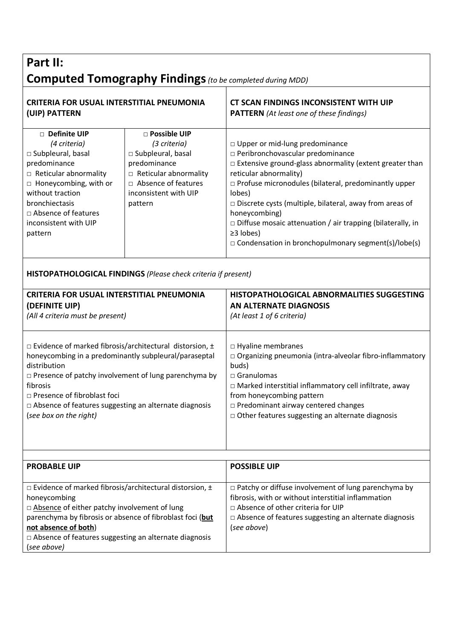## **Part II: Computed Tomography Findings***(to be completed during MDD)*

| <b>CRITERIA FOR USUAL INTERSTITIAL PNEUMONIA</b><br>(UIP) PATTERN                                                                                                                                                                                                                                                                                 |                                                                                                                                                                    | CT SCAN FINDINGS INCONSISTENT WITH UIP<br><b>PATTERN</b> (At least one of these findings)                                                                                                                                                                                                                                                                                                                                                                                    |  |  |
|---------------------------------------------------------------------------------------------------------------------------------------------------------------------------------------------------------------------------------------------------------------------------------------------------------------------------------------------------|--------------------------------------------------------------------------------------------------------------------------------------------------------------------|------------------------------------------------------------------------------------------------------------------------------------------------------------------------------------------------------------------------------------------------------------------------------------------------------------------------------------------------------------------------------------------------------------------------------------------------------------------------------|--|--|
| □ Definite UIP<br>(4 criteria)<br>□ Subpleural, basal<br>predominance<br>$\Box$ Reticular abnormality<br>$\Box$ Honeycombing, with or<br>without traction<br>bronchiectasis<br>□ Absence of features<br>inconsistent with UIP<br>pattern                                                                                                          | □ Possible UIP<br>(3 criteria)<br>□ Subpleural, basal<br>predominance<br>$\Box$ Reticular abnormality<br>□ Absence of features<br>inconsistent with UIP<br>pattern | □ Upper or mid-lung predominance<br>□ Peribronchovascular predominance<br>□ Extensive ground-glass abnormality (extent greater than<br>reticular abnormality)<br>$\Box$ Profuse micronodules (bilateral, predominantly upper<br>lobes)<br>$\Box$ Discrete cysts (multiple, bilateral, away from areas of<br>honeycombing)<br>$\square$ Diffuse mosaic attenuation / air trapping (bilaterally, in<br>≥3 lobes)<br>$\Box$ Condensation in bronchopulmonary segment(s)/lobe(s) |  |  |
| HISTOPATHOLOGICAL FINDINGS (Please check criteria if present)                                                                                                                                                                                                                                                                                     |                                                                                                                                                                    |                                                                                                                                                                                                                                                                                                                                                                                                                                                                              |  |  |
| <b>CRITERIA FOR USUAL INTERSTITIAL PNEUMONIA</b><br>(DEFINITE UIP)<br>(All 4 criteria must be present)                                                                                                                                                                                                                                            |                                                                                                                                                                    | HISTOPATHOLOGICAL ABNORMALITIES SUGGESTING<br><b>AN ALTERNATE DIAGNOSIS</b><br>(At least 1 of 6 criteria)                                                                                                                                                                                                                                                                                                                                                                    |  |  |
| $\Box$ Evidence of marked fibrosis/architectural distorsion, $\pm$<br>honeycombing in a predominantly subpleural/paraseptal<br>distribution<br>$\Box$ Presence of patchy involvement of lung parenchyma by<br>fibrosis<br>□ Presence of fibroblast foci<br>$\Box$ Absence of features suggesting an alternate diagnosis<br>(see box on the right) |                                                                                                                                                                    | □ Hyaline membranes<br>□ Organizing pneumonia (intra-alveolar fibro-inflammatory<br>buds)<br>$\square$ Granulomas<br>$\Box$ Marked interstitial inflammatory cell infiltrate, away<br>from honeycombing pattern<br>□ Predominant airway centered changes<br>$\Box$ Other features suggesting an alternate diagnosis                                                                                                                                                          |  |  |
|                                                                                                                                                                                                                                                                                                                                                   |                                                                                                                                                                    |                                                                                                                                                                                                                                                                                                                                                                                                                                                                              |  |  |
| <b>PROBABLE UIP</b>                                                                                                                                                                                                                                                                                                                               |                                                                                                                                                                    | <b>POSSIBLE UIP</b>                                                                                                                                                                                                                                                                                                                                                                                                                                                          |  |  |
| $\Box$ Evidence of marked fibrosis/architectural distorsion, $\pm$<br>honeycombing<br>□ Absence of either patchy involvement of lung<br>parenchyma by fibrosis or absence of fibroblast foci (but<br>not absence of both)<br>$\Box$ Absence of features suggesting an alternate diagnosis<br>(see above)                                          |                                                                                                                                                                    | □ Patchy or diffuse involvement of lung parenchyma by<br>fibrosis, with or without interstitial inflammation<br>$\Box$ Absence of other criteria for UIP<br>$\Box$ Absence of features suggesting an alternate diagnosis<br>(see above)                                                                                                                                                                                                                                      |  |  |